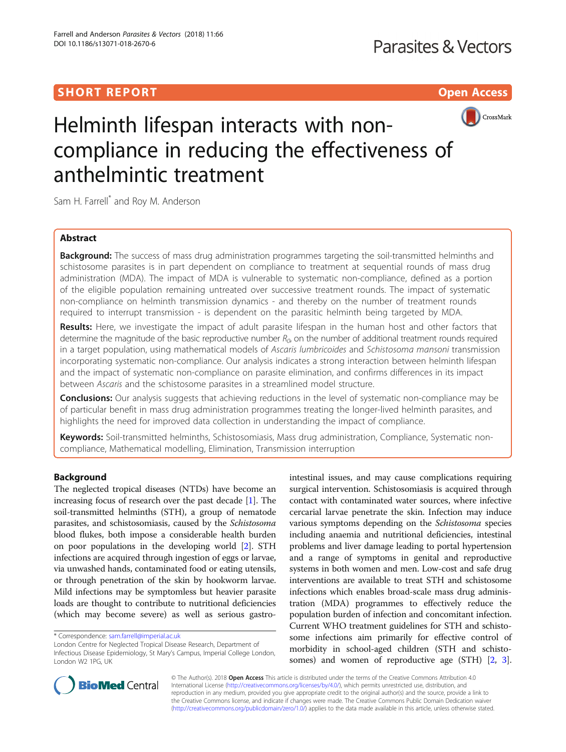# SHORT REPORT NEWSTERS AND THE SHORT CONTROL CONTROL CONTROL CONTROL CONTROL CONTROL CONTROL CONTROL CONTROL CO



# Helminth lifespan interacts with noncompliance in reducing the effectiveness of anthelmintic treatment

Sam H. Farrell<sup>\*</sup> and Roy M. Anderson

# Abstract

Background: The success of mass drug administration programmes targeting the soil-transmitted helminths and schistosome parasites is in part dependent on compliance to treatment at sequential rounds of mass drug administration (MDA). The impact of MDA is vulnerable to systematic non-compliance, defined as a portion of the eligible population remaining untreated over successive treatment rounds. The impact of systematic non-compliance on helminth transmission dynamics - and thereby on the number of treatment rounds required to interrupt transmission - is dependent on the parasitic helminth being targeted by MDA.

Results: Here, we investigate the impact of adult parasite lifespan in the human host and other factors that determine the magnitude of the basic reproductive number  $R_0$ , on the number of additional treatment rounds required in a target population, using mathematical models of Ascaris lumbricoides and Schistosoma mansoni transmission incorporating systematic non-compliance. Our analysis indicates a strong interaction between helminth lifespan and the impact of systematic non-compliance on parasite elimination, and confirms differences in its impact between Ascaris and the schistosome parasites in a streamlined model structure.

**Conclusions:** Our analysis suggests that achieving reductions in the level of systematic non-compliance may be of particular benefit in mass drug administration programmes treating the longer-lived helminth parasites, and highlights the need for improved data collection in understanding the impact of compliance.

Keywords: Soil-transmitted helminths, Schistosomiasis, Mass drug administration, Compliance, Systematic noncompliance, Mathematical modelling, Elimination, Transmission interruption

# Background

The neglected tropical diseases (NTDs) have become an increasing focus of research over the past decade [\[1](#page-4-0)]. The soil-transmitted helminths (STH), a group of nematode parasites, and schistosomiasis, caused by the Schistosoma blood flukes, both impose a considerable health burden on poor populations in the developing world [[2\]](#page-4-0). STH infections are acquired through ingestion of eggs or larvae, via unwashed hands, contaminated food or eating utensils, or through penetration of the skin by hookworm larvae. Mild infections may be symptomless but heavier parasite loads are thought to contribute to nutritional deficiencies (which may become severe) as well as serious gastro-

London Centre for Neglected Tropical Disease Research, Department of Infectious Disease Epidemiology, St Mary's Campus, Imperial College London, London W2 1PG, UK

intestinal issues, and may cause complications requiring surgical intervention. Schistosomiasis is acquired through contact with contaminated water sources, where infective cercarial larvae penetrate the skin. Infection may induce various symptoms depending on the Schistosoma species including anaemia and nutritional deficiencies, intestinal problems and liver damage leading to portal hypertension and a range of symptoms in genital and reproductive systems in both women and men. Low-cost and safe drug interventions are available to treat STH and schistosome infections which enables broad-scale mass drug administration (MDA) programmes to effectively reduce the population burden of infection and concomitant infection. Current WHO treatment guidelines for STH and schistosome infections aim primarily for effective control of morbidity in school-aged children (STH and schistosomes) and women of reproductive age (STH) [\[2,](#page-4-0) [3](#page-4-0)].



© The Author(s). 2018 Open Access This article is distributed under the terms of the Creative Commons Attribution 4.0 International License [\(http://creativecommons.org/licenses/by/4.0/](http://creativecommons.org/licenses/by/4.0/)), which permits unrestricted use, distribution, and reproduction in any medium, provided you give appropriate credit to the original author(s) and the source, provide a link to the Creative Commons license, and indicate if changes were made. The Creative Commons Public Domain Dedication waiver [\(http://creativecommons.org/publicdomain/zero/1.0/](http://creativecommons.org/publicdomain/zero/1.0/)) applies to the data made available in this article, unless otherwise stated.

<sup>\*</sup> Correspondence: [sam.farrell@imperial.ac.uk](mailto:sam.farrell@imperial.ac.uk)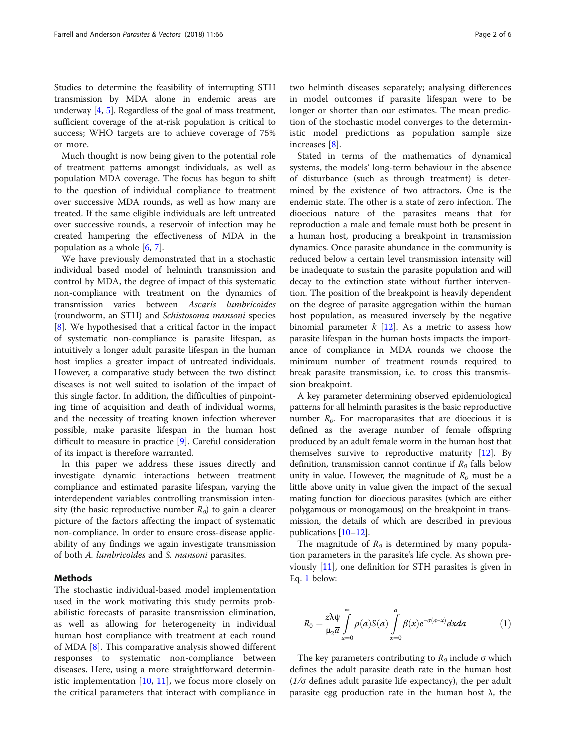<span id="page-1-0"></span>Studies to determine the feasibility of interrupting STH transmission by MDA alone in endemic areas are underway  $[4, 5]$  $[4, 5]$  $[4, 5]$  $[4, 5]$  $[4, 5]$ . Regardless of the goal of mass treatment, sufficient coverage of the at-risk population is critical to success; WHO targets are to achieve coverage of 75% or more.

Much thought is now being given to the potential role of treatment patterns amongst individuals, as well as population MDA coverage. The focus has begun to shift to the question of individual compliance to treatment over successive MDA rounds, as well as how many are treated. If the same eligible individuals are left untreated over successive rounds, a reservoir of infection may be created hampering the effectiveness of MDA in the population as a whole [[6](#page-5-0), [7\]](#page-5-0).

We have previously demonstrated that in a stochastic individual based model of helminth transmission and control by MDA, the degree of impact of this systematic non-compliance with treatment on the dynamics of transmission varies between Ascaris lumbricoides (roundworm, an STH) and Schistosoma mansoni species [[8\]](#page-5-0). We hypothesised that a critical factor in the impact of systematic non-compliance is parasite lifespan, as intuitively a longer adult parasite lifespan in the human host implies a greater impact of untreated individuals. However, a comparative study between the two distinct diseases is not well suited to isolation of the impact of this single factor. In addition, the difficulties of pinpointing time of acquisition and death of individual worms, and the necessity of treating known infection wherever possible, make parasite lifespan in the human host difficult to measure in practice [\[9](#page-5-0)]. Careful consideration of its impact is therefore warranted.

In this paper we address these issues directly and investigate dynamic interactions between treatment compliance and estimated parasite lifespan, varying the interdependent variables controlling transmission intensity (the basic reproductive number  $R_0$ ) to gain a clearer picture of the factors affecting the impact of systematic non-compliance. In order to ensure cross-disease applicability of any findings we again investigate transmission of both A. lumbricoides and S. mansoni parasites.

## Methods

The stochastic individual-based model implementation used in the work motivating this study permits probabilistic forecasts of parasite transmission elimination, as well as allowing for heterogeneity in individual human host compliance with treatment at each round of MDA [\[8](#page-5-0)]. This comparative analysis showed different responses to systematic non-compliance between diseases. Here, using a more straightforward deterministic implementation  $[10, 11]$  $[10, 11]$  $[10, 11]$ , we focus more closely on the critical parameters that interact with compliance in

two helminth diseases separately; analysing differences in model outcomes if parasite lifespan were to be longer or shorter than our estimates. The mean prediction of the stochastic model converges to the deterministic model predictions as population sample size increases [[8\]](#page-5-0).

Stated in terms of the mathematics of dynamical systems, the models' long-term behaviour in the absence of disturbance (such as through treatment) is determined by the existence of two attractors. One is the endemic state. The other is a state of zero infection. The dioecious nature of the parasites means that for reproduction a male and female must both be present in a human host, producing a breakpoint in transmission dynamics. Once parasite abundance in the community is reduced below a certain level transmission intensity will be inadequate to sustain the parasite population and will decay to the extinction state without further intervention. The position of the breakpoint is heavily dependent on the degree of parasite aggregation within the human host population, as measured inversely by the negative binomial parameter  $k$  [[12\]](#page-5-0). As a metric to assess how parasite lifespan in the human hosts impacts the importance of compliance in MDA rounds we choose the minimum number of treatment rounds required to break parasite transmission, i.e. to cross this transmission breakpoint.

A key parameter determining observed epidemiological patterns for all helminth parasites is the basic reproductive number  $R_0$ . For macroparasites that are dioecious it is defined as the average number of female offspring produced by an adult female worm in the human host that themselves survive to reproductive maturity  $[12]$  $[12]$  $[12]$ . By definition, transmission cannot continue if  $R_0$  falls below unity in value. However, the magnitude of  $R_0$  must be a little above unity in value given the impact of the sexual mating function for dioecious parasites (which are either polygamous or monogamous) on the breakpoint in transmission, the details of which are described in previous publications [\[10](#page-5-0)–[12](#page-5-0)].

The magnitude of  $R_0$  is determined by many population parameters in the parasite's life cycle. As shown previously [[11](#page-5-0)], one definition for STH parasites is given in Eq. 1 below:

$$
R_0 = \frac{z\lambda\psi}{\mu_2 \overline{a}} \int_{a=0}^{\infty} \rho(a)S(a) \int_{x=0}^{a} \beta(x)e^{-\sigma(a-x)}dxda
$$
 (1)

The key parameters contributing to  $R_0$  include  $\sigma$  which defines the adult parasite death rate in the human host  $(1/\sigma)$  defines adult parasite life expectancy), the per adult parasite egg production rate in the human host λ, the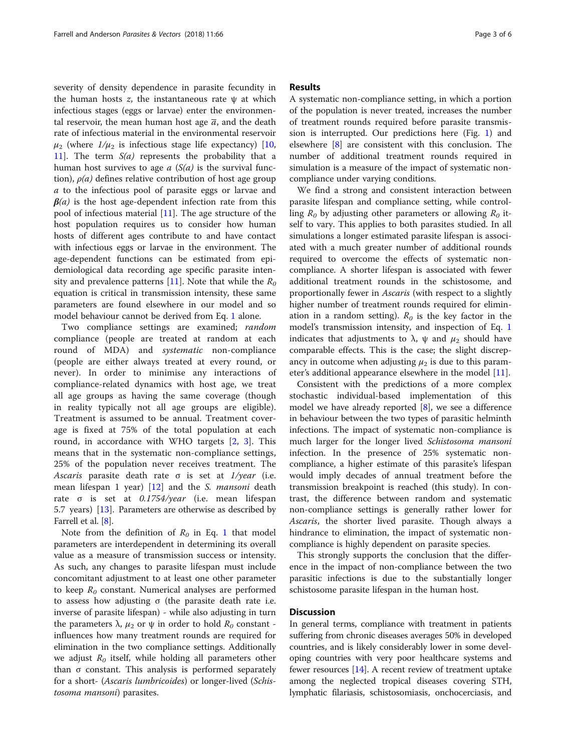severity of density dependence in parasite fecundity in the human hosts z, the instantaneous rate  $\psi$  at which infectious stages (eggs or larvae) enter the environmental reservoir, the mean human host age  $\bar{a}$ , and the death rate of infectious material in the environmental reservoir  $\mu_2$  (where  $1/\mu_2$  is infectious stage life expectancy) [[10](#page-5-0), [11\]](#page-5-0). The term  $S(a)$  represents the probability that a human host survives to age  $a(S(a))$  is the survival function),  $\rho(a)$  defines relative contribution of host age group a to the infectious pool of parasite eggs or larvae and  $\beta$ (a) is the host age-dependent infection rate from this pool of infectious material  $[11]$  $[11]$ . The age structure of the host population requires us to consider how human hosts of different ages contribute to and have contact with infectious eggs or larvae in the environment. The age-dependent functions can be estimated from epidemiological data recording age specific parasite inten-sity and prevalence patterns [[11\]](#page-5-0). Note that while the  $R_0$ equation is critical in transmission intensity, these same parameters are found elsewhere in our model and so model behaviour cannot be derived from Eq. [1](#page-1-0) alone.

Two compliance settings are examined; random compliance (people are treated at random at each round of MDA) and systematic non-compliance (people are either always treated at every round, or never). In order to minimise any interactions of compliance-related dynamics with host age, we treat all age groups as having the same coverage (though in reality typically not all age groups are eligible). Treatment is assumed to be annual. Treatment coverage is fixed at 75% of the total population at each round, in accordance with WHO targets [\[2](#page-4-0), [3\]](#page-4-0). This means that in the systematic non-compliance settings, 25% of the population never receives treatment. The Ascaris parasite death rate  $\sigma$  is set at  $1/\gamma e$ ar (i.e. mean lifespan 1 year) [\[12](#page-5-0)] and the S. mansoni death rate σ is set at 0.1754/year (i.e. mean lifespan 5.7 years) [[13](#page-5-0)]. Parameters are otherwise as described by Farrell et al. [\[8](#page-5-0)].

Note from the definition of  $R_0$  in Eq. [1](#page-1-0) that model parameters are interdependent in determining its overall value as a measure of transmission success or intensity. As such, any changes to parasite lifespan must include concomitant adjustment to at least one other parameter to keep  $R_0$  constant. Numerical analyses are performed to assess how adjusting σ (the parasite death rate i.e. inverse of parasite lifespan) - while also adjusting in turn the parameters λ,  $\mu_2$  or ψ in order to hold  $R_0$  constant influences how many treatment rounds are required for elimination in the two compliance settings. Additionally we adjust  $R_0$  itself, while holding all parameters other than σ constant. This analysis is performed separately for a short- (Ascaris lumbricoides) or longer-lived (Schistosoma mansoni) parasites.

## Results

A systematic non-compliance setting, in which a portion of the population is never treated, increases the number of treatment rounds required before parasite transmission is interrupted. Our predictions here (Fig. [1](#page-3-0)) and elsewhere [[8](#page-5-0)] are consistent with this conclusion. The number of additional treatment rounds required in simulation is a measure of the impact of systematic noncompliance under varying conditions.

We find a strong and consistent interaction between parasite lifespan and compliance setting, while controlling  $R_0$  by adjusting other parameters or allowing  $R_0$  itself to vary. This applies to both parasites studied. In all simulations a longer estimated parasite lifespan is associated with a much greater number of additional rounds required to overcome the effects of systematic noncompliance. A shorter lifespan is associated with fewer additional treatment rounds in the schistosome, and proportionally fewer in Ascaris (with respect to a slightly higher number of treatment rounds required for elimination in a random setting).  $R_0$  is the key factor in the model's transmission intensity, and inspection of Eq. [1](#page-1-0) indicates that adjustments to  $\lambda$ ,  $\psi$  and  $\mu_2$  should have comparable effects. This is the case; the slight discrepancy in outcome when adjusting  $\mu_2$  is due to this parameter's additional appearance elsewhere in the model [\[11\]](#page-5-0).

Consistent with the predictions of a more complex stochastic individual-based implementation of this model we have already reported  $[8]$  $[8]$ , we see a difference in behaviour between the two types of parasitic helminth infections. The impact of systematic non-compliance is much larger for the longer lived Schistosoma mansoni infection. In the presence of 25% systematic noncompliance, a higher estimate of this parasite's lifespan would imply decades of annual treatment before the transmission breakpoint is reached (this study). In contrast, the difference between random and systematic non-compliance settings is generally rather lower for Ascaris, the shorter lived parasite. Though always a hindrance to elimination, the impact of systematic noncompliance is highly dependent on parasite species.

This strongly supports the conclusion that the difference in the impact of non-compliance between the two parasitic infections is due to the substantially longer schistosome parasite lifespan in the human host.

## **Discussion**

In general terms, compliance with treatment in patients suffering from chronic diseases averages 50% in developed countries, and is likely considerably lower in some developing countries with very poor healthcare systems and fewer resources [\[14](#page-5-0)]. A recent review of treatment uptake among the neglected tropical diseases covering STH, lymphatic filariasis, schistosomiasis, onchocerciasis, and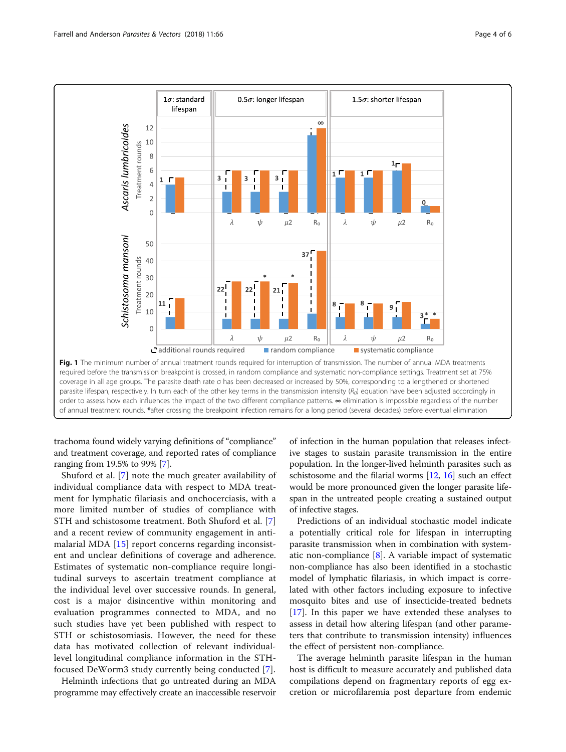<span id="page-3-0"></span>

trachoma found widely varying definitions of "compliance" and treatment coverage, and reported rates of compliance ranging from 19.5% to 99% [[7](#page-5-0)].

Shuford et al. [\[7](#page-5-0)] note the much greater availability of individual compliance data with respect to MDA treatment for lymphatic filariasis and onchocerciasis, with a more limited number of studies of compliance with STH and schistosome treatment. Both Shuford et al. [\[7](#page-5-0)] and a recent review of community engagement in antimalarial MDA [[15\]](#page-5-0) report concerns regarding inconsistent and unclear definitions of coverage and adherence. Estimates of systematic non-compliance require longitudinal surveys to ascertain treatment compliance at the individual level over successive rounds. In general, cost is a major disincentive within monitoring and evaluation programmes connected to MDA, and no such studies have yet been published with respect to STH or schistosomiasis. However, the need for these data has motivated collection of relevant individuallevel longitudinal compliance information in the STHfocused DeWorm3 study currently being conducted [[7\]](#page-5-0).

Helminth infections that go untreated during an MDA programme may effectively create an inaccessible reservoir

of infection in the human population that releases infective stages to sustain parasite transmission in the entire population. In the longer-lived helminth parasites such as schistosome and the filarial worms  $[12, 16]$  $[12, 16]$  $[12, 16]$  $[12, 16]$  $[12, 16]$  such an effect would be more pronounced given the longer parasite lifespan in the untreated people creating a sustained output of infective stages.

Predictions of an individual stochastic model indicate a potentially critical role for lifespan in interrupting parasite transmission when in combination with systematic non-compliance [\[8](#page-5-0)]. A variable impact of systematic non-compliance has also been identified in a stochastic model of lymphatic filariasis, in which impact is correlated with other factors including exposure to infective mosquito bites and use of insecticide-treated bednets [[17\]](#page-5-0). In this paper we have extended these analyses to assess in detail how altering lifespan (and other parameters that contribute to transmission intensity) influences the effect of persistent non-compliance.

The average helminth parasite lifespan in the human host is difficult to measure accurately and published data compilations depend on fragmentary reports of egg excretion or microfilaremia post departure from endemic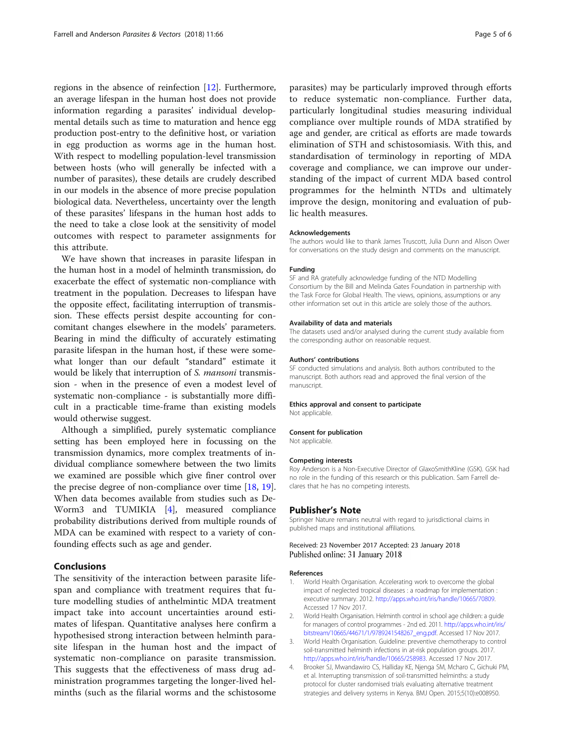<span id="page-4-0"></span>regions in the absence of reinfection [\[12](#page-5-0)]. Furthermore, an average lifespan in the human host does not provide information regarding a parasites' individual developmental details such as time to maturation and hence egg production post-entry to the definitive host, or variation in egg production as worms age in the human host. With respect to modelling population-level transmission between hosts (who will generally be infected with a number of parasites), these details are crudely described in our models in the absence of more precise population biological data. Nevertheless, uncertainty over the length of these parasites' lifespans in the human host adds to the need to take a close look at the sensitivity of model outcomes with respect to parameter assignments for this attribute.

We have shown that increases in parasite lifespan in the human host in a model of helminth transmission, do exacerbate the effect of systematic non-compliance with treatment in the population. Decreases to lifespan have the opposite effect, facilitating interruption of transmission. These effects persist despite accounting for concomitant changes elsewhere in the models' parameters. Bearing in mind the difficulty of accurately estimating parasite lifespan in the human host, if these were somewhat longer than our default "standard" estimate it would be likely that interruption of S. mansoni transmission - when in the presence of even a modest level of systematic non-compliance - is substantially more difficult in a practicable time-frame than existing models would otherwise suggest.

Although a simplified, purely systematic compliance setting has been employed here in focussing on the transmission dynamics, more complex treatments of individual compliance somewhere between the two limits we examined are possible which give finer control over the precise degree of non-compliance over time [\[18](#page-5-0), [19](#page-5-0)]. When data becomes available from studies such as De-Worm3 and TUMIKIA [4], measured compliance probability distributions derived from multiple rounds of MDA can be examined with respect to a variety of confounding effects such as age and gender.

# Conclusions

The sensitivity of the interaction between parasite lifespan and compliance with treatment requires that future modelling studies of anthelmintic MDA treatment impact take into account uncertainties around estimates of lifespan. Quantitative analyses here confirm a hypothesised strong interaction between helminth parasite lifespan in the human host and the impact of systematic non-compliance on parasite transmission. This suggests that the effectiveness of mass drug administration programmes targeting the longer-lived helminths (such as the filarial worms and the schistosome

parasites) may be particularly improved through efforts to reduce systematic non-compliance. Further data, particularly longitudinal studies measuring individual compliance over multiple rounds of MDA stratified by age and gender, are critical as efforts are made towards elimination of STH and schistosomiasis. With this, and standardisation of terminology in reporting of MDA coverage and compliance, we can improve our understanding of the impact of current MDA based control programmes for the helminth NTDs and ultimately improve the design, monitoring and evaluation of public health measures.

## Acknowledgements

The authors would like to thank James Truscott, Julia Dunn and Alison Ower for conversations on the study design and comments on the manuscript.

#### Funding

SF and RA gratefully acknowledge funding of the NTD Modelling Consortium by the Bill and Melinda Gates Foundation in partnership with the Task Force for Global Health. The views, opinions, assumptions or any other information set out in this article are solely those of the authors.

#### Availability of data and materials

The datasets used and/or analysed during the current study available from the corresponding author on reasonable request.

#### Authors' contributions

SF conducted simulations and analysis. Both authors contributed to the manuscript. Both authors read and approved the final version of the manuscript.

#### Ethics approval and consent to participate

Not applicable.

#### Consent for publication

Not applicable.

#### Competing interests

Roy Anderson is a Non-Executive Director of GlaxoSmithKline (GSK). GSK had no role in the funding of this research or this publication. Sam Farrell declares that he has no competing interests.

#### Publisher's Note

Springer Nature remains neutral with regard to jurisdictional claims in published maps and institutional affiliations.

## Received: 23 November 2017 Accepted: 23 January 2018 Published online: 31 January 2018

#### References

- 1. World Health Organisation. Accelerating work to overcome the global impact of neglected tropical diseases : a roadmap for implementation : executive summary. 2012. <http://apps.who.int/iris/handle/10665/70809>. Accessed 17 Nov 2017.
- 2. World Health Organisation. Helminth control in school age children: a guide for managers of control programmes - 2nd ed. 2011. [http://apps.who.int/iris/](http://apps.who.int/iris/bitstream/10665/44671/1/9789241548267_eng.pdf) [bitstream/10665/44671/1/9789241548267\\_eng.pdf](http://apps.who.int/iris/bitstream/10665/44671/1/9789241548267_eng.pdf). Accessed 17 Nov 2017.
- 3. World Health Organisation. Guideline: preventive chemotherapy to control soil-transmitted helminth infections in at-risk population groups. 2017. <http://apps.who.int/iris/handle/10665/258983>. Accessed 17 Nov 2017.
- 4. Brooker SJ, Mwandawiro CS, Halliday KE, Njenga SM, Mcharo C, Gichuki PM, et al. Interrupting transmission of soil-transmitted helminths: a study protocol for cluster randomised trials evaluating alternative treatment strategies and delivery systems in Kenya. BMJ Open. 2015;5(10):e008950.